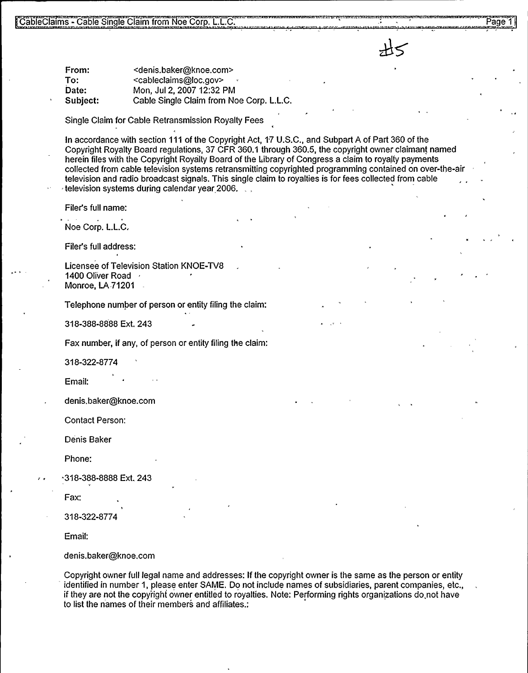From: To: Date: Subject: <denis.baker@knoe.com> <cableclaims@loc.gov> Mon, Jul 2, 2007 12:32 PM Cable Single Claim from Noe Corp. L.L.C.

Single Claim for Cable Retransmission Royalty Fees

In accordance with section 111 of the Copyright Act, 17 U.S.C., and Subpart A of Part 360 of the Copyright Royalty Board regulations, 37 CFR 360.1 through 360.5, the copyright owner claimant named herein files with the Copyright Royalty Board of the Library of Congress a claim to royalty payments collected from cable television systems retransmitting copyrighted programming contained on over-the-air television and radio broadcast signals. This single claim to royalties is for fees collected from cable television systems during calendar year 2006.

Filer's full name:

Noe Corp. L.L.C,

Filer's full address:

Licensee of Television Station KNOE-TV8 1400 Oliver Road Monroe, LA 71201

Telephone number of person or entity filing the claim:

318-388-8888 Ext. 243

Fax number, if any, of person or entity filing the claim:

318-322-8774

Email:

denis.baker@knoe.com

Contact Person:

Denis Baker

Phone:

-318-388-8888 Ext. 243

Fax:

318-322-8774

Email:

denis.baker@knoe.corn

Copyright owner full legal name and addresses: If the copyright owner is the same as the person or entity identified in number 1, please enter SAME. Do not include names of subsidiaries, parent companies, etc., if they are not the copyright owner entitled to royalties. Note: Performing rights organizations do,not have to list the names of their members and affiliates.:

Page